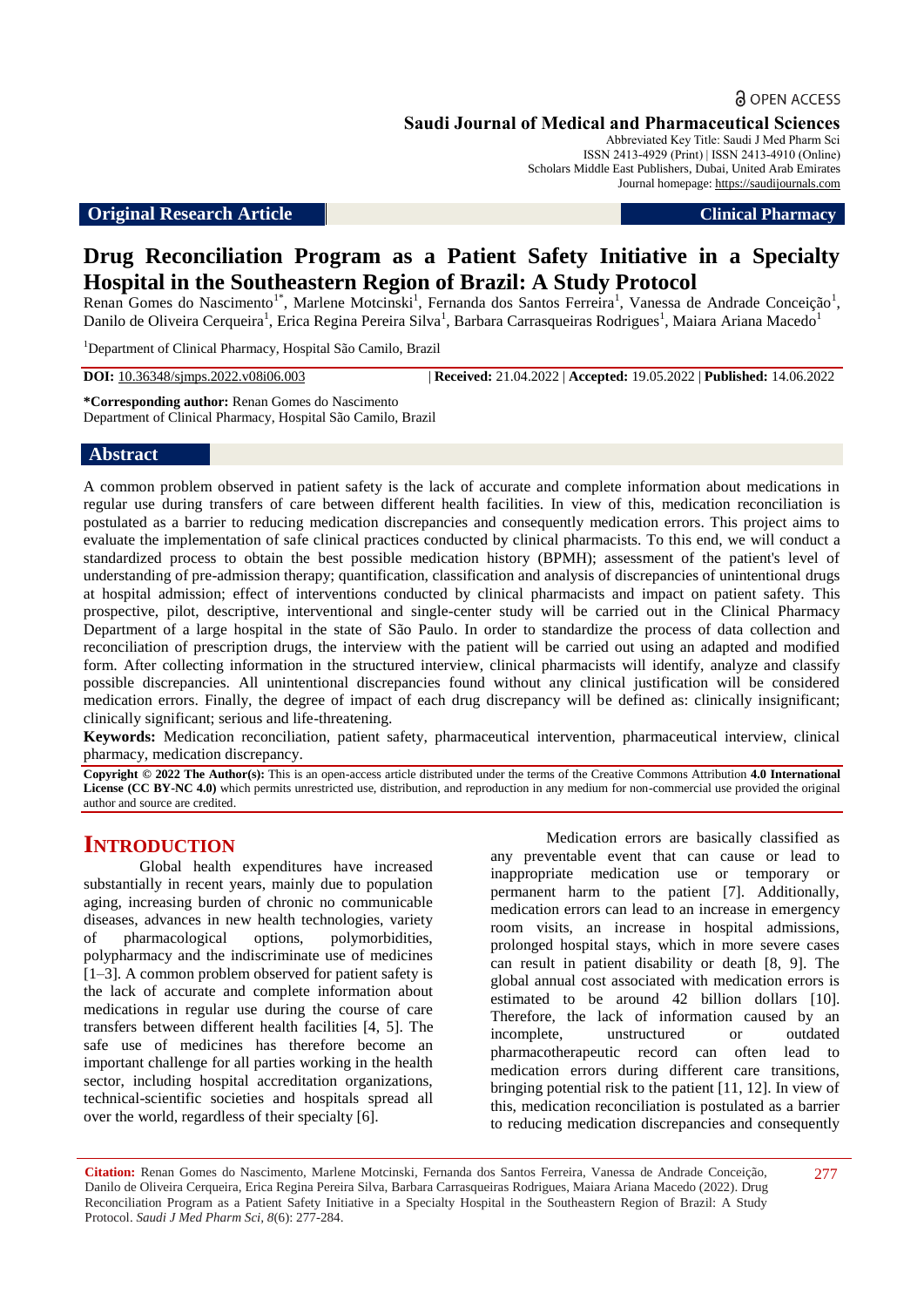**Saudi Journal of Medical and Pharmaceutical Sciences**

Abbreviated Key Title: Saudi J Med Pharm Sci ISSN 2413-4929 (Print) | ISSN 2413-4910 (Online) Scholars Middle East Publishers, Dubai, United Arab Emirates Journal homepage: [https://saudijournals.com](https://saudijournals.com/sjmps)

#### **Original Research Article Clinical Pharmacy**

# **Drug Reconciliation Program as a Patient Safety Initiative in a Specialty Hospital in the Southeastern Region of Brazil: A Study Protocol**

Renan Gomes do Nascimento<sup>1\*</sup>, Marlene Motcinski<sup>1</sup>, Fernanda dos Santos Ferreira<sup>1</sup>, Vanessa de Andrade Conceição<sup>1</sup>, Danilo de Oliveira Cerqueira<sup>1</sup>, Erica Regina Pereira Silva<sup>1</sup>, Barbara Carrasqueiras Rodrigues<sup>1</sup>, Maiara Ariana Macedo<sup>1</sup>

<sup>1</sup>Department of Clinical Pharmacy, Hospital São Camilo, Brazil

**DOI:** 10.36348/sjmps.2022.v08i06.003 | **Received:** 21.04.2022 | **Accepted:** 19.05.2022 | **Published:** 14.06.2022

**\*Corresponding author:** Renan Gomes do Nascimento Department of Clinical Pharmacy, Hospital São Camilo, Brazil

#### **Abstract**

A common problem observed in patient safety is the lack of accurate and complete information about medications in regular use during transfers of care between different health facilities. In view of this, medication reconciliation is postulated as a barrier to reducing medication discrepancies and consequently medication errors. This project aims to evaluate the implementation of safe clinical practices conducted by clinical pharmacists. To this end, we will conduct a standardized process to obtain the best possible medication history (BPMH); assessment of the patient's level of understanding of pre-admission therapy; quantification, classification and analysis of discrepancies of unintentional drugs at hospital admission; effect of interventions conducted by clinical pharmacists and impact on patient safety. This prospective, pilot, descriptive, interventional and single-center study will be carried out in the Clinical Pharmacy Department of a large hospital in the state of São Paulo. In order to standardize the process of data collection and reconciliation of prescription drugs, the interview with the patient will be carried out using an adapted and modified form. After collecting information in the structured interview, clinical pharmacists will identify, analyze and classify possible discrepancies. All unintentional discrepancies found without any clinical justification will be considered medication errors. Finally, the degree of impact of each drug discrepancy will be defined as: clinically insignificant; clinically significant; serious and life-threatening.

**Keywords:** Medication reconciliation, patient safety, pharmaceutical intervention, pharmaceutical interview, clinical pharmacy, medication discrepancy.

**Copyright © 2022 The Author(s):** This is an open-access article distributed under the terms of the Creative Commons Attribution **4.0 International License (CC BY-NC 4.0)** which permits unrestricted use, distribution, and reproduction in any medium for non-commercial use provided the original author and source are credited.

## **INTRODUCTION**

Global health expenditures have increased substantially in recent years, mainly due to population aging, increasing burden of chronic no communicable diseases, advances in new health technologies, variety of pharmacological options, polymorbidities, polypharmacy and the indiscriminate use of medicines [1–3]. A common problem observed for patient safety is the lack of accurate and complete information about medications in regular use during the course of care transfers between different health facilities [4, 5]. The safe use of medicines has therefore become an important challenge for all parties working in the health sector, including hospital accreditation organizations, technical-scientific societies and hospitals spread all over the world, regardless of their specialty [6].

Medication errors are basically classified as any preventable event that can cause or lead to inappropriate medication use or temporary or permanent harm to the patient [7]. Additionally, medication errors can lead to an increase in emergency room visits, an increase in hospital admissions, prolonged hospital stays, which in more severe cases can result in patient disability or death [8, 9]. The global annual cost associated with medication errors is estimated to be around 42 billion dollars [10]. Therefore, the lack of information caused by an incomplete, unstructured or outdated pharmacotherapeutic record can often lead to medication errors during different care transitions, bringing potential risk to the patient [11, 12]. In view of this, medication reconciliation is postulated as a barrier to reducing medication discrepancies and consequently

**Citation:** Renan Gomes do Nascimento, Marlene Motcinski, Fernanda dos Santos Ferreira, Vanessa de Andrade Conceição, Danilo de Oliveira Cerqueira, Erica Regina Pereira Silva, Barbara Carrasqueiras Rodrigues, Maiara Ariana Macedo (2022). Drug Reconciliation Program as a Patient Safety Initiative in a Specialty Hospital in the Southeastern Region of Brazil: A Study Protocol. *Saudi J Med Pharm Sci, 8*(6): 277-284.

277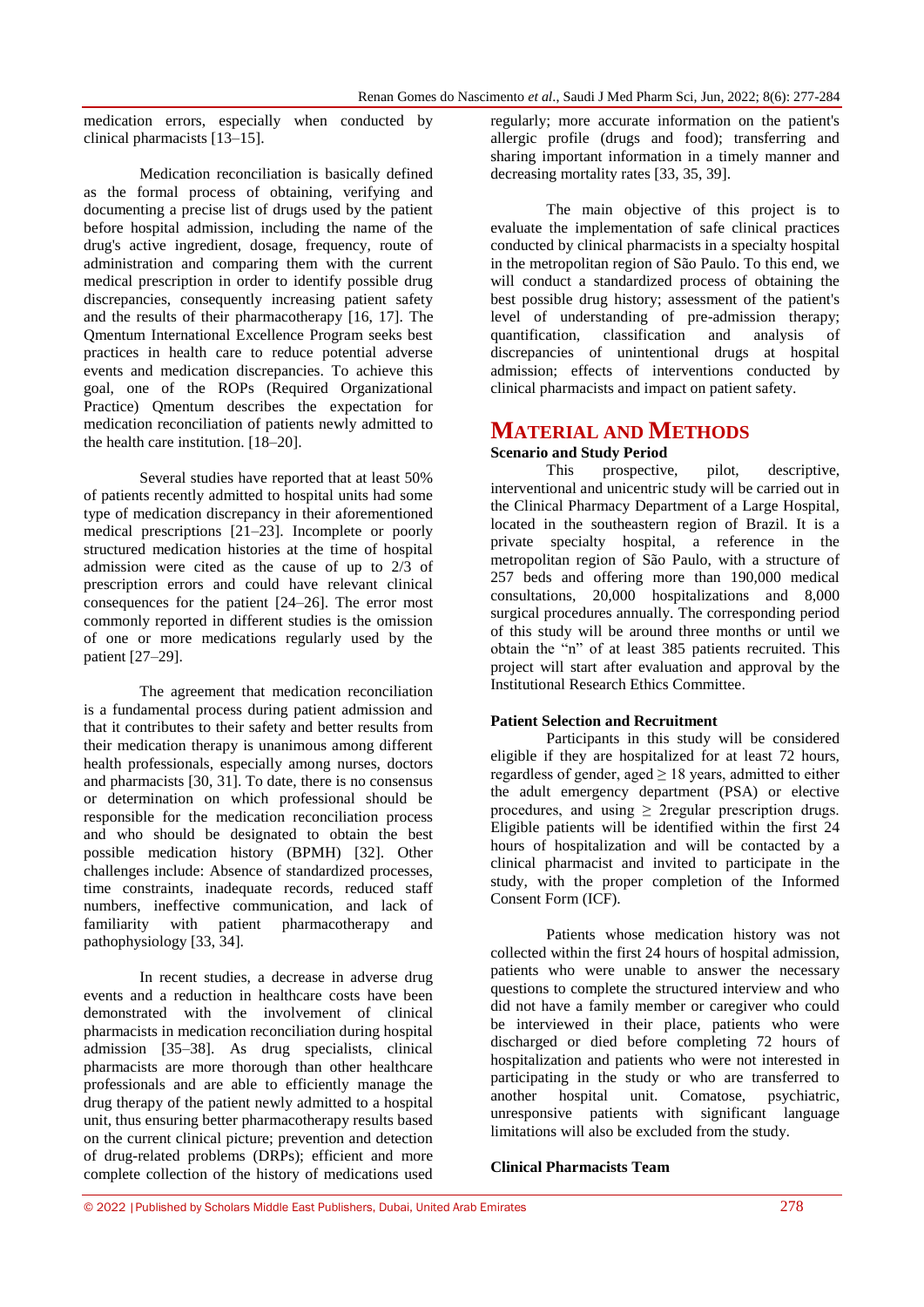medication errors, especially when conducted by clinical pharmacists [13–15].

Medication reconciliation is basically defined as the formal process of obtaining, verifying and documenting a precise list of drugs used by the patient before hospital admission, including the name of the drug's active ingredient, dosage, frequency, route of administration and comparing them with the current medical prescription in order to identify possible drug discrepancies, consequently increasing patient safety and the results of their pharmacotherapy [16, 17]. The Qmentum International Excellence Program seeks best practices in health care to reduce potential adverse events and medication discrepancies. To achieve this goal, one of the ROPs (Required Organizational Practice) Qmentum describes the expectation for medication reconciliation of patients newly admitted to the health care institution. [18–20].

Several studies have reported that at least 50% of patients recently admitted to hospital units had some type of medication discrepancy in their aforementioned medical prescriptions [21–23]. Incomplete or poorly structured medication histories at the time of hospital admission were cited as the cause of up to 2/3 of prescription errors and could have relevant clinical consequences for the patient [24–26]. The error most commonly reported in different studies is the omission of one or more medications regularly used by the patient [27–29].

The agreement that medication reconciliation is a fundamental process during patient admission and that it contributes to their safety and better results from their medication therapy is unanimous among different health professionals, especially among nurses, doctors and pharmacists [30, 31]. To date, there is no consensus or determination on which professional should be responsible for the medication reconciliation process and who should be designated to obtain the best possible medication history (BPMH) [32]. Other challenges include: Absence of standardized processes, time constraints, inadequate records, reduced staff numbers, ineffective communication, and lack of familiarity with patient pharmacotherapy and pathophysiology [33, 34].

In recent studies, a decrease in adverse drug events and a reduction in healthcare costs have been demonstrated with the involvement of clinical pharmacists in medication reconciliation during hospital admission [35–38]. As drug specialists, clinical pharmacists are more thorough than other healthcare professionals and are able to efficiently manage the drug therapy of the patient newly admitted to a hospital unit, thus ensuring better pharmacotherapy results based on the current clinical picture; prevention and detection of drug-related problems (DRPs); efficient and more complete collection of the history of medications used

regularly; more accurate information on the patient's allergic profile (drugs and food); transferring and sharing important information in a timely manner and decreasing mortality rates [33, 35, 39].

The main objective of this project is to evaluate the implementation of safe clinical practices conducted by clinical pharmacists in a specialty hospital in the metropolitan region of São Paulo. To this end, we will conduct a standardized process of obtaining the best possible drug history; assessment of the patient's level of understanding of pre-admission therapy; quantification, classification and analysis of discrepancies of unintentional drugs at hospital admission; effects of interventions conducted by clinical pharmacists and impact on patient safety.

# **MATERIAL AND METHODS**

#### **Scenario and Study Period**

This prospective, pilot, descriptive, interventional and unicentric study will be carried out in the Clinical Pharmacy Department of a Large Hospital, located in the southeastern region of Brazil. It is a private specialty hospital, a reference in the metropolitan region of São Paulo, with a structure of 257 beds and offering more than 190,000 medical consultations, 20,000 hospitalizations and 8,000 surgical procedures annually. The corresponding period of this study will be around three months or until we obtain the "n" of at least 385 patients recruited. This project will start after evaluation and approval by the Institutional Research Ethics Committee.

### **Patient Selection and Recruitment**

Participants in this study will be considered eligible if they are hospitalized for at least 72 hours, regardless of gender, aged  $\geq$  18 years, admitted to either the adult emergency department (PSA) or elective procedures, and using  $\geq$  2regular prescription drugs. Eligible patients will be identified within the first 24 hours of hospitalization and will be contacted by a clinical pharmacist and invited to participate in the study, with the proper completion of the Informed Consent Form (ICF).

Patients whose medication history was not collected within the first 24 hours of hospital admission, patients who were unable to answer the necessary questions to complete the structured interview and who did not have a family member or caregiver who could be interviewed in their place, patients who were discharged or died before completing 72 hours of hospitalization and patients who were not interested in participating in the study or who are transferred to another hospital unit. Comatose, psychiatric, unresponsive patients with significant language limitations will also be excluded from the study.

#### **Clinical Pharmacists Team**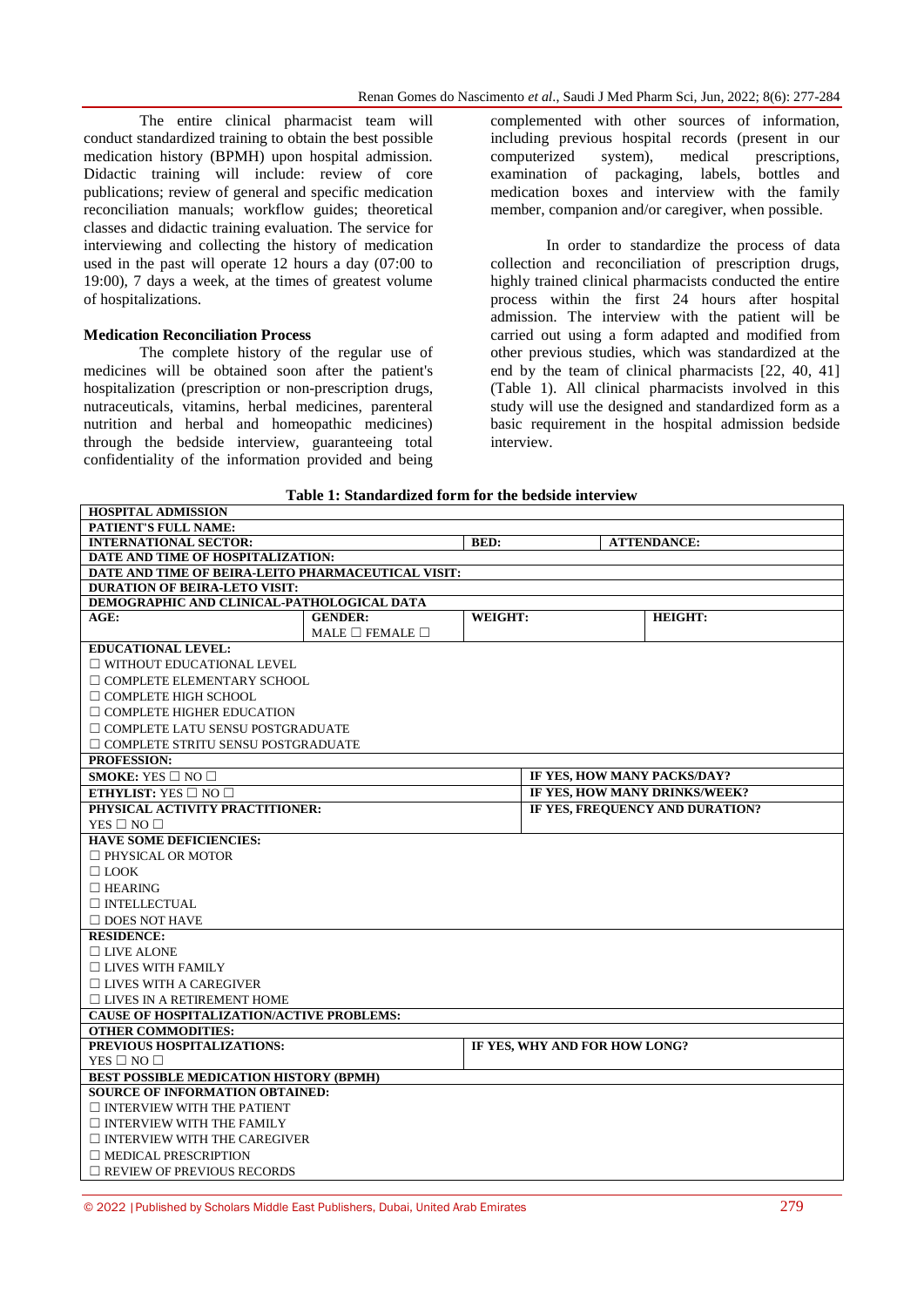The entire clinical pharmacist team will conduct standardized training to obtain the best possible medication history (BPMH) upon hospital admission. Didactic training will include: review of core publications; review of general and specific medication reconciliation manuals; workflow guides; theoretical classes and didactic training evaluation. The service for interviewing and collecting the history of medication used in the past will operate 12 hours a day (07:00 to 19:00), 7 days a week, at the times of greatest volume of hospitalizations.

#### **Medication Reconciliation Process**

**HOSPITAL ADMISSION**

The complete history of the regular use of medicines will be obtained soon after the patient's hospitalization (prescription or non-prescription drugs, nutraceuticals, vitamins, herbal medicines, parenteral nutrition and herbal and homeopathic medicines) through the bedside interview, guaranteeing total confidentiality of the information provided and being complemented with other sources of information, including previous hospital records (present in our computerized system), medical prescriptions, examination of packaging, labels, bottles and medication boxes and interview with the family member, companion and/or caregiver, when possible.

In order to standardize the process of data collection and reconciliation of prescription drugs, highly trained clinical pharmacists conducted the entire process within the first 24 hours after hospital admission. The interview with the patient will be carried out using a form adapted and modified from other previous studies, which was standardized at the end by the team of clinical pharmacists [22, 40, 41] (Table 1). All clinical pharmacists involved in this study will use the designed and standardized form as a basic requirement in the hospital admission bedside interview.

#### **Table 1: Standardized form for the bedside interview**

| HUSPITAL ADMISSIUN                                 |                                 |         |                               |                    |                                 |  |  |  |
|----------------------------------------------------|---------------------------------|---------|-------------------------------|--------------------|---------------------------------|--|--|--|
| PATIENT'S FULL NAME:                               |                                 |         |                               |                    |                                 |  |  |  |
| <b>INTERNATIONAL SECTOR:</b>                       | <b>BED:</b>                     |         |                               | <b>ATTENDANCE:</b> |                                 |  |  |  |
| DATE AND TIME OF HOSPITALIZATION:                  |                                 |         |                               |                    |                                 |  |  |  |
| DATE AND TIME OF BEIRA-LEITO PHARMACEUTICAL VISIT: |                                 |         |                               |                    |                                 |  |  |  |
| <b>DURATION OF BEIRA-LETO VISIT:</b>               |                                 |         |                               |                    |                                 |  |  |  |
| DEMOGRAPHIC AND CLINICAL-PATHOLOGICAL DATA         |                                 |         |                               |                    |                                 |  |  |  |
| AGE:                                               | <b>GENDER:</b>                  | WEIGHT: |                               |                    | <b>HEIGHT:</b>                  |  |  |  |
|                                                    | MALE $\square$ FEMALE $\square$ |         |                               |                    |                                 |  |  |  |
| <b>EDUCATIONAL LEVEL:</b>                          |                                 |         |                               |                    |                                 |  |  |  |
| $\Box$ WITHOUT EDUCATIONAL LEVEL                   |                                 |         |                               |                    |                                 |  |  |  |
| $\Box$ COMPLETE ELEMENTARY SCHOOL                  |                                 |         |                               |                    |                                 |  |  |  |
|                                                    | $\Box$ COMPLETE HIGH SCHOOL     |         |                               |                    |                                 |  |  |  |
| $\Box$ COMPLETE HIGHER EDUCATION                   |                                 |         |                               |                    |                                 |  |  |  |
| $\Box$ COMPLETE LATU SENSU POSTGRADUATE            |                                 |         |                               |                    |                                 |  |  |  |
| $\Box$ COMPLETE STRITU SENSU POSTGRADUATE          |                                 |         |                               |                    |                                 |  |  |  |
| <b>PROFESSION:</b>                                 |                                 |         |                               |                    |                                 |  |  |  |
| SMOKE: YES $\square$ NO $\square$                  |                                 |         | IF YES, HOW MANY PACKS/DAY?   |                    |                                 |  |  |  |
| <b>ETHYLIST:</b> YES $\Box$ NO $\Box$              |                                 |         | IF YES. HOW MANY DRINKS/WEEK? |                    |                                 |  |  |  |
| PHYSICAL ACTIVITY PRACTITIONER:                    |                                 |         |                               |                    | IF YES, FREQUENCY AND DURATION? |  |  |  |
| YES $\square$ NO $\square$                         |                                 |         |                               |                    |                                 |  |  |  |
| <b>HAVE SOME DEFICIENCIES:</b>                     |                                 |         |                               |                    |                                 |  |  |  |
| $\Box$ PHYSICAL OR MOTOR                           |                                 |         |                               |                    |                                 |  |  |  |
| $\Box$ LOOK                                        |                                 |         |                               |                    |                                 |  |  |  |
| $\Box$ HEARING                                     |                                 |         |                               |                    |                                 |  |  |  |
| $\Box$ INTELLECTUAL                                |                                 |         |                               |                    |                                 |  |  |  |
| $\Box$ DOES NOT HAVE                               |                                 |         |                               |                    |                                 |  |  |  |
| <b>RESIDENCE:</b>                                  |                                 |         |                               |                    |                                 |  |  |  |
| $\Box$ LIVE ALONE                                  |                                 |         |                               |                    |                                 |  |  |  |
| $\Box$ LIVES WITH FAMILY                           |                                 |         |                               |                    |                                 |  |  |  |
| $\Box$ LIVES WITH A CAREGIVER                      |                                 |         |                               |                    |                                 |  |  |  |
| $\Box$ LIVES IN A RETIREMENT HOME                  |                                 |         |                               |                    |                                 |  |  |  |
| <b>CAUSE OF HOSPITALIZATION/ACTIVE PROBLEMS:</b>   |                                 |         |                               |                    |                                 |  |  |  |
| <b>OTHER COMMODITIES:</b>                          |                                 |         |                               |                    |                                 |  |  |  |
| PREVIOUS HOSPITALIZATIONS:                         |                                 |         | IF YES, WHY AND FOR HOW LONG? |                    |                                 |  |  |  |
| YES $\square$ NO $\square$                         |                                 |         |                               |                    |                                 |  |  |  |
| BEST POSSIBLE MEDICATION HISTORY (BPMH)            |                                 |         |                               |                    |                                 |  |  |  |
| <b>SOURCE OF INFORMATION OBTAINED:</b>             |                                 |         |                               |                    |                                 |  |  |  |
| $\Box$ INTERVIEW WITH THE PATIENT                  |                                 |         |                               |                    |                                 |  |  |  |
| $\Box$ INTERVIEW WITH THE FAMILY                   |                                 |         |                               |                    |                                 |  |  |  |
| $\Box$ INTERVIEW WITH THE CAREGIVER                |                                 |         |                               |                    |                                 |  |  |  |
| $\Box$ MEDICAL PRESCRIPTION                        |                                 |         |                               |                    |                                 |  |  |  |
| $\Box$ REVIEW OF PREVIOUS RECORDS                  |                                 |         |                               |                    |                                 |  |  |  |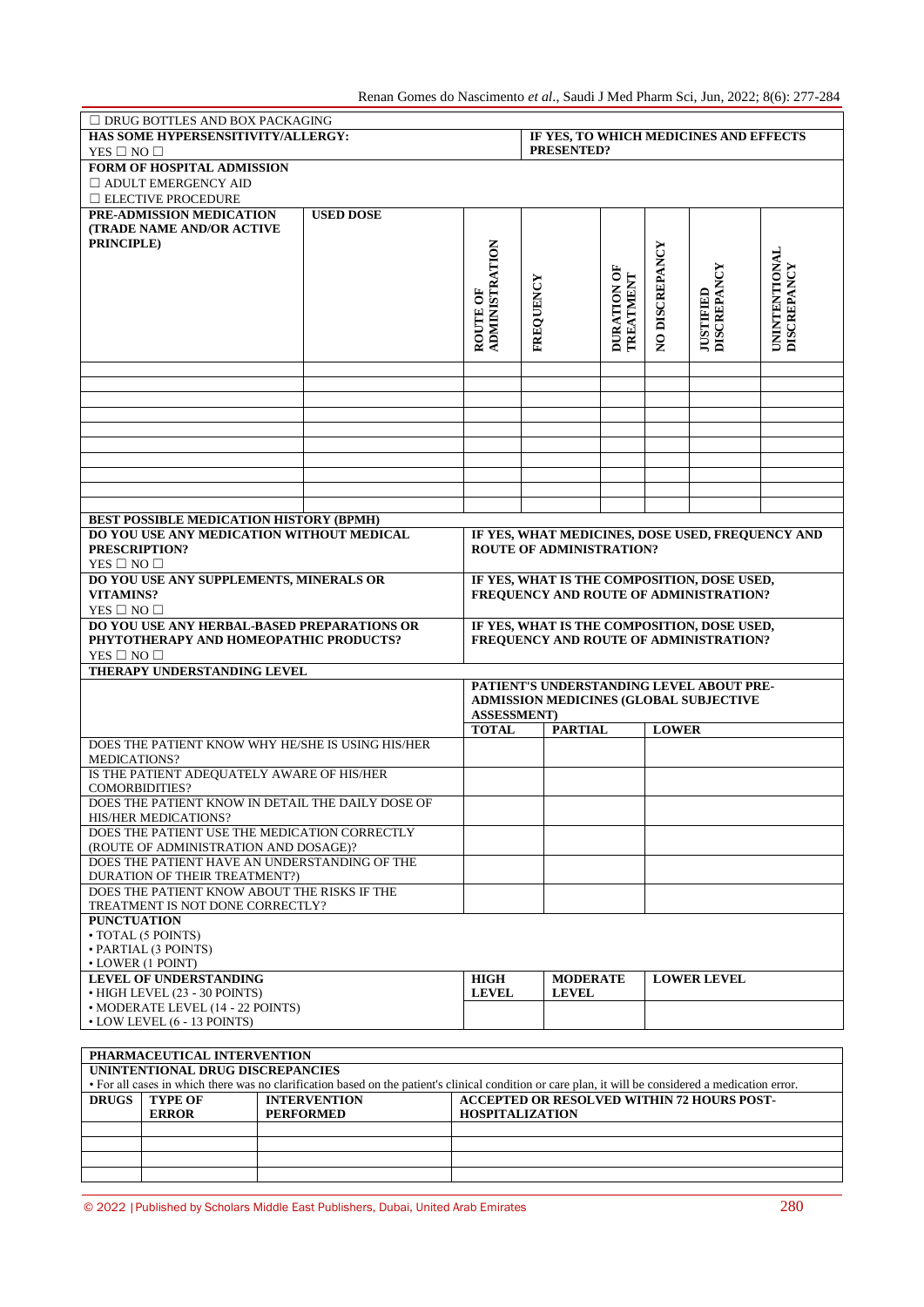Renan Gomes do Nascimento *et al*., Saudi J Med Pharm Sci, Jun, 2022; 8(6): 277-284

| $\Box$ DRUG BOTTLES AND BOX PACKAGING                                                                                                                 |                                       |                                   |                                                                                       |                 |                          |                |                                             |                                            |
|-------------------------------------------------------------------------------------------------------------------------------------------------------|---------------------------------------|-----------------------------------|---------------------------------------------------------------------------------------|-----------------|--------------------------|----------------|---------------------------------------------|--------------------------------------------|
| HAS SOME HYPERSENSITIVITY/ALLERGY:                                                                                                                    |                                       |                                   | IF YES, TO WHICH MEDICINES AND EFFECTS                                                |                 |                          |                |                                             |                                            |
| YES $\square$ NO $\square$                                                                                                                            |                                       |                                   | PRESENTED?                                                                            |                 |                          |                |                                             |                                            |
| FORM OF HOSPITAL ADMISSION                                                                                                                            |                                       |                                   |                                                                                       |                 |                          |                |                                             |                                            |
| $\Box$ ADULT EMERGENCY AID                                                                                                                            |                                       |                                   |                                                                                       |                 |                          |                |                                             |                                            |
| $\Box$ ELECTIVE PROCEDURE<br>PRE-ADMISSION MEDICATION                                                                                                 | <b>USED DOSE</b>                      |                                   |                                                                                       |                 |                          |                |                                             |                                            |
| <b>(TRADE NAME AND/OR ACTIVE</b>                                                                                                                      |                                       |                                   |                                                                                       |                 |                          |                |                                             |                                            |
| <b>PRINCIPLE</b> )                                                                                                                                    |                                       |                                   |                                                                                       |                 |                          |                |                                             |                                            |
|                                                                                                                                                       |                                       |                                   |                                                                                       |                 |                          |                |                                             |                                            |
|                                                                                                                                                       |                                       |                                   |                                                                                       |                 |                          |                |                                             |                                            |
|                                                                                                                                                       |                                       |                                   |                                                                                       |                 |                          |                |                                             |                                            |
|                                                                                                                                                       |                                       |                                   |                                                                                       |                 |                          |                |                                             |                                            |
|                                                                                                                                                       |                                       |                                   |                                                                                       |                 |                          |                |                                             |                                            |
|                                                                                                                                                       |                                       | <b>ADMINISTRATION</b><br>ROUTE OF | FREQUENCY                                                                             |                 | DURATION OF<br>TREATMENT | NO DISCREPANCY | <b>JUSTIFIED<br/>DISCREPANCY</b>            | <b>UNINTENTIONAL</b><br><b>DISCREPANCY</b> |
|                                                                                                                                                       |                                       |                                   |                                                                                       |                 |                          |                |                                             |                                            |
|                                                                                                                                                       |                                       |                                   |                                                                                       |                 |                          |                |                                             |                                            |
|                                                                                                                                                       |                                       |                                   |                                                                                       |                 |                          |                |                                             |                                            |
|                                                                                                                                                       |                                       |                                   |                                                                                       |                 |                          |                |                                             |                                            |
|                                                                                                                                                       |                                       |                                   |                                                                                       |                 |                          |                |                                             |                                            |
|                                                                                                                                                       |                                       |                                   |                                                                                       |                 |                          |                |                                             |                                            |
|                                                                                                                                                       |                                       |                                   |                                                                                       |                 |                          |                |                                             |                                            |
|                                                                                                                                                       |                                       |                                   |                                                                                       |                 |                          |                |                                             |                                            |
|                                                                                                                                                       |                                       |                                   |                                                                                       |                 |                          |                |                                             |                                            |
|                                                                                                                                                       |                                       |                                   |                                                                                       |                 |                          |                |                                             |                                            |
| <b>BEST POSSIBLE MEDICATION HISTORY (BPMH)</b><br>DO YOU USE ANY MEDICATION WITHOUT MEDICAL<br>IF YES, WHAT MEDICINES, DOSE USED, FREQUENCY AND       |                                       |                                   |                                                                                       |                 |                          |                |                                             |                                            |
| PRESCRIPTION?                                                                                                                                         |                                       | <b>ROUTE OF ADMINISTRATION?</b>   |                                                                                       |                 |                          |                |                                             |                                            |
| YES $\square$ NO $\square$                                                                                                                            |                                       |                                   |                                                                                       |                 |                          |                |                                             |                                            |
| DO YOU USE ANY SUPPLEMENTS, MINERALS OR                                                                                                               |                                       |                                   |                                                                                       |                 |                          |                | IF YES, WHAT IS THE COMPOSITION, DOSE USED, |                                            |
| VITAMINS?                                                                                                                                             |                                       |                                   | FREQUENCY AND ROUTE OF ADMINISTRATION?                                                |                 |                          |                |                                             |                                            |
| YES $\square$ NO $\square$                                                                                                                            |                                       |                                   |                                                                                       |                 |                          |                |                                             |                                            |
| DO YOU USE ANY HERBAL-BASED PREPARATIONS OR<br>PHYTOTHERAPY AND HOMEOPATHIC PRODUCTS?                                                                 |                                       |                                   | IF YES, WHAT IS THE COMPOSITION, DOSE USED,<br>FREQUENCY AND ROUTE OF ADMINISTRATION? |                 |                          |                |                                             |                                            |
| YES $\square$ NO $\square$                                                                                                                            |                                       |                                   |                                                                                       |                 |                          |                |                                             |                                            |
| THERAPY UNDERSTANDING LEVEL                                                                                                                           |                                       |                                   |                                                                                       |                 |                          |                |                                             |                                            |
| PATIENT'S UNDERSTANDING LEVEL ABOUT PRE-                                                                                                              |                                       |                                   |                                                                                       |                 |                          |                |                                             |                                            |
|                                                                                                                                                       |                                       |                                   | ADMISSION MEDICINES (GLOBAL SUBJECTIVE                                                |                 |                          |                |                                             |                                            |
|                                                                                                                                                       | <b>ASSESSMENT</b> )<br><b>PARTIAL</b> |                                   |                                                                                       |                 |                          |                |                                             |                                            |
|                                                                                                                                                       | <b>TOTAL</b>                          |                                   |                                                                                       |                 | <b>LOWER</b>             |                |                                             |                                            |
| DOES THE PATIENT KNOW WHY HE/SHE IS USING HIS/HER<br><b>MEDICATIONS?</b>                                                                              |                                       |                                   |                                                                                       |                 |                          |                |                                             |                                            |
| IS THE PATIENT ADEOUATELY AWARE OF HIS/HER                                                                                                            |                                       |                                   |                                                                                       |                 |                          |                |                                             |                                            |
| <b>COMORBIDITIES?</b>                                                                                                                                 |                                       |                                   |                                                                                       |                 |                          |                |                                             |                                            |
| DOES THE PATIENT KNOW IN DETAIL THE DAILY DOSE OF                                                                                                     |                                       |                                   |                                                                                       |                 |                          |                |                                             |                                            |
| HIS/HER MEDICATIONS?                                                                                                                                  |                                       |                                   |                                                                                       |                 |                          |                |                                             |                                            |
| DOES THE PATIENT USE THE MEDICATION CORRECTLY<br>(ROUTE OF ADMINISTRATION AND DOSAGE)?                                                                |                                       |                                   |                                                                                       |                 |                          |                |                                             |                                            |
| DOES THE PATIENT HAVE AN UNDERSTANDING OF THE                                                                                                         |                                       |                                   |                                                                                       |                 |                          |                |                                             |                                            |
| DURATION OF THEIR TREATMENT?)                                                                                                                         |                                       |                                   |                                                                                       |                 |                          |                |                                             |                                            |
| DOES THE PATIENT KNOW ABOUT THE RISKS IF THE                                                                                                          |                                       |                                   |                                                                                       |                 |                          |                |                                             |                                            |
| TREATMENT IS NOT DONE CORRECTLY?                                                                                                                      |                                       |                                   |                                                                                       |                 |                          |                |                                             |                                            |
| <b>PUNCTUATION</b><br>· TOTAL (5 POINTS)                                                                                                              |                                       |                                   |                                                                                       |                 |                          |                |                                             |                                            |
| · PARTIAL (3 POINTS)                                                                                                                                  |                                       |                                   |                                                                                       |                 |                          |                |                                             |                                            |
| • LOWER (1 POINT)                                                                                                                                     |                                       |                                   |                                                                                       |                 |                          |                |                                             |                                            |
| <b>LEVEL OF UNDERSTANDING</b>                                                                                                                         |                                       |                                   |                                                                                       | <b>MODERATE</b> |                          |                | <b>LOWER LEVEL</b>                          |                                            |
| • HIGH LEVEL (23 - 30 POINTS)                                                                                                                         |                                       |                                   |                                                                                       | <b>LEVEL</b>    |                          |                |                                             |                                            |
| • MODERATE LEVEL (14 - 22 POINTS)<br>• LOW LEVEL (6 - 13 POINTS)                                                                                      |                                       |                                   |                                                                                       |                 |                          |                |                                             |                                            |
|                                                                                                                                                       |                                       |                                   |                                                                                       |                 |                          |                |                                             |                                            |
| PHARMACEUTICAL INTERVENTION                                                                                                                           |                                       |                                   |                                                                                       |                 |                          |                |                                             |                                            |
| UNINTENTIONAL DRUG DISCREPANCIES                                                                                                                      |                                       |                                   |                                                                                       |                 |                          |                |                                             |                                            |
| • For all cases in which there was no clarification based on the patient's clinical condition or care plan, it will be considered a medication error. |                                       |                                   |                                                                                       |                 |                          |                |                                             |                                            |
|                                                                                                                                                       |                                       |                                   |                                                                                       |                 |                          |                |                                             |                                            |

| TOT an cases in which there was no claimication based on the battern's chincal condition of care bian. It will be considered a medication effor. |                |                     |                                            |  |  |  |
|--------------------------------------------------------------------------------------------------------------------------------------------------|----------------|---------------------|--------------------------------------------|--|--|--|
| <b>DRUGS</b>                                                                                                                                     | <b>TYPE OF</b> | <b>INTERVENTION</b> | ACCEPTED OR RESOLVED WITHIN 72 HOURS POST- |  |  |  |
|                                                                                                                                                  | <b>ERROR</b>   | <b>PERFORMED</b>    | <b>HOSPITALIZATION</b>                     |  |  |  |
|                                                                                                                                                  |                |                     |                                            |  |  |  |
|                                                                                                                                                  |                |                     |                                            |  |  |  |
|                                                                                                                                                  |                |                     |                                            |  |  |  |
|                                                                                                                                                  |                |                     |                                            |  |  |  |

© 2022 |Published by Scholars Middle East Publishers, Dubai, United Arab Emirates 280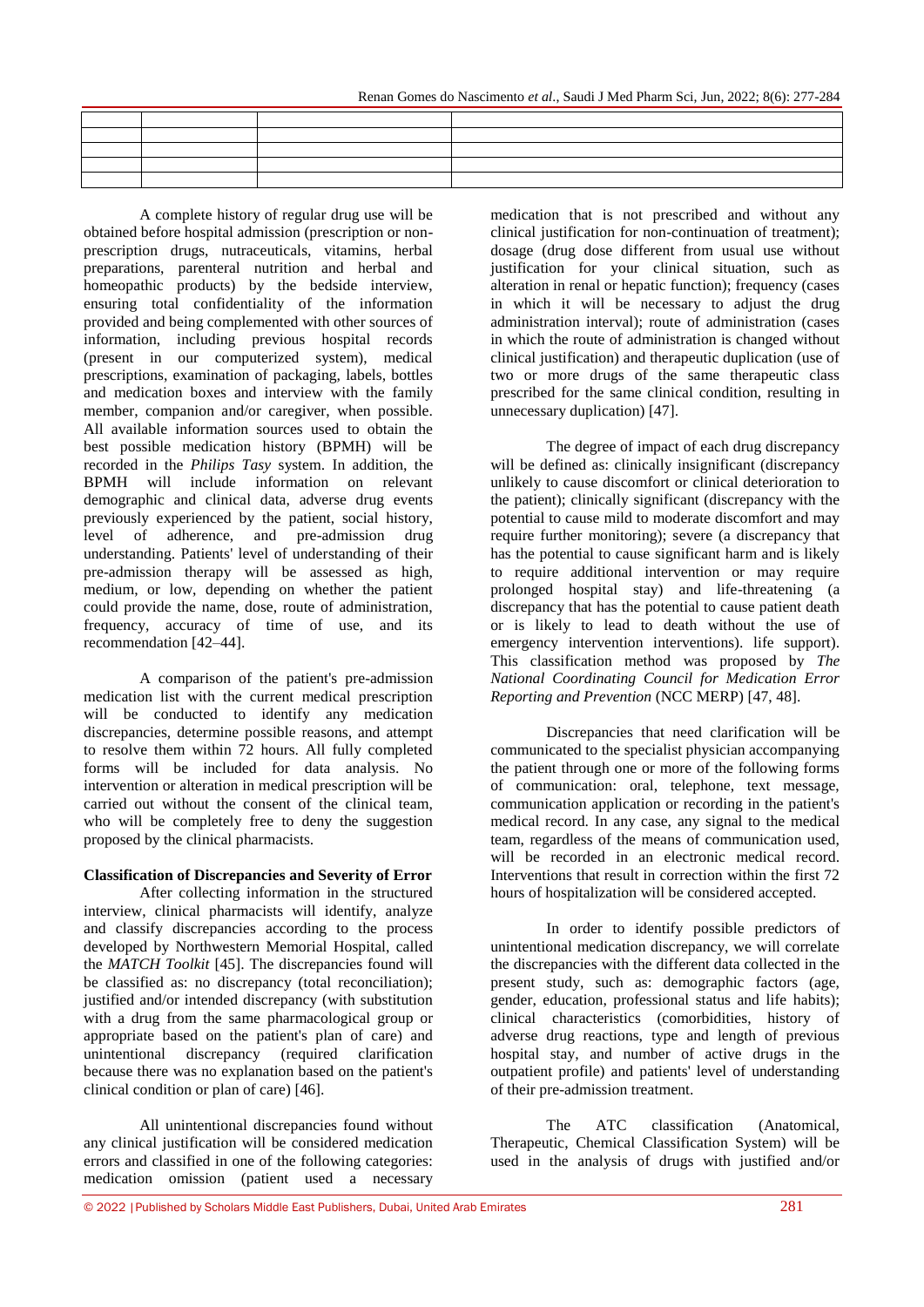| the control of the control of the con-<br>the contract of the contract of |                                                                                                                       |  |
|---------------------------------------------------------------------------|-----------------------------------------------------------------------------------------------------------------------|--|
|                                                                           | <u> 1989 - Andrea San Andrea Andrea Andrea Andrea Andrea Andrea Andrea Andrea Andrea Andrea Andrea Andrea Andrea </u> |  |
|                                                                           |                                                                                                                       |  |

A complete history of regular drug use will be obtained before hospital admission (prescription or nonprescription drugs, nutraceuticals, vitamins, herbal preparations, parenteral nutrition and herbal and homeopathic products) by the bedside interview, ensuring total confidentiality of the information provided and being complemented with other sources of information, including previous hospital records (present in our computerized system), medical prescriptions, examination of packaging, labels, bottles and medication boxes and interview with the family member, companion and/or caregiver, when possible. All available information sources used to obtain the best possible medication history (BPMH) will be recorded in the *Philips Tasy* system. In addition, the BPMH will include information on relevant demographic and clinical data, adverse drug events previously experienced by the patient, social history, level of adherence, and pre-admission drug understanding. Patients' level of understanding of their pre-admission therapy will be assessed as high, medium, or low, depending on whether the patient could provide the name, dose, route of administration, frequency, accuracy of time of use, and its recommendation [42–44].

A comparison of the patient's pre-admission medication list with the current medical prescription will be conducted to identify any medication discrepancies, determine possible reasons, and attempt to resolve them within 72 hours. All fully completed forms will be included for data analysis. No intervention or alteration in medical prescription will be carried out without the consent of the clinical team, who will be completely free to deny the suggestion proposed by the clinical pharmacists.

### **Classification of Discrepancies and Severity of Error**

After collecting information in the structured interview, clinical pharmacists will identify, analyze and classify discrepancies according to the process developed by Northwestern Memorial Hospital, called the *MATCH Toolkit* [45]. The discrepancies found will be classified as: no discrepancy (total reconciliation); justified and/or intended discrepancy (with substitution with a drug from the same pharmacological group or appropriate based on the patient's plan of care) and unintentional discrepancy (required clarification because there was no explanation based on the patient's clinical condition or plan of care) [46].

All unintentional discrepancies found without any clinical justification will be considered medication errors and classified in one of the following categories: medication omission (patient used a necessary

medication that is not prescribed and without any clinical justification for non-continuation of treatment); dosage (drug dose different from usual use without justification for your clinical situation, such as alteration in renal or hepatic function); frequency (cases in which it will be necessary to adjust the drug administration interval); route of administration (cases in which the route of administration is changed without clinical justification) and therapeutic duplication (use of two or more drugs of the same therapeutic class prescribed for the same clinical condition, resulting in unnecessary duplication) [47].

The degree of impact of each drug discrepancy will be defined as: clinically insignificant (discrepancy unlikely to cause discomfort or clinical deterioration to the patient); clinically significant (discrepancy with the potential to cause mild to moderate discomfort and may require further monitoring); severe (a discrepancy that has the potential to cause significant harm and is likely to require additional intervention or may require prolonged hospital stay) and life-threatening (a discrepancy that has the potential to cause patient death or is likely to lead to death without the use of emergency intervention interventions). life support). This classification method was proposed by *The National Coordinating Council for Medication Error Reporting and Prevention* (NCC MERP) [47, 48].

Discrepancies that need clarification will be communicated to the specialist physician accompanying the patient through one or more of the following forms of communication: oral, telephone, text message, communication application or recording in the patient's medical record. In any case, any signal to the medical team, regardless of the means of communication used, will be recorded in an electronic medical record. Interventions that result in correction within the first 72 hours of hospitalization will be considered accepted.

In order to identify possible predictors of unintentional medication discrepancy, we will correlate the discrepancies with the different data collected in the present study, such as: demographic factors (age, gender, education, professional status and life habits); clinical characteristics (comorbidities, history of adverse drug reactions, type and length of previous hospital stay, and number of active drugs in the outpatient profile) and patients' level of understanding of their pre-admission treatment.

The ATC classification (Anatomical, Therapeutic, Chemical Classification System) will be used in the analysis of drugs with justified and/or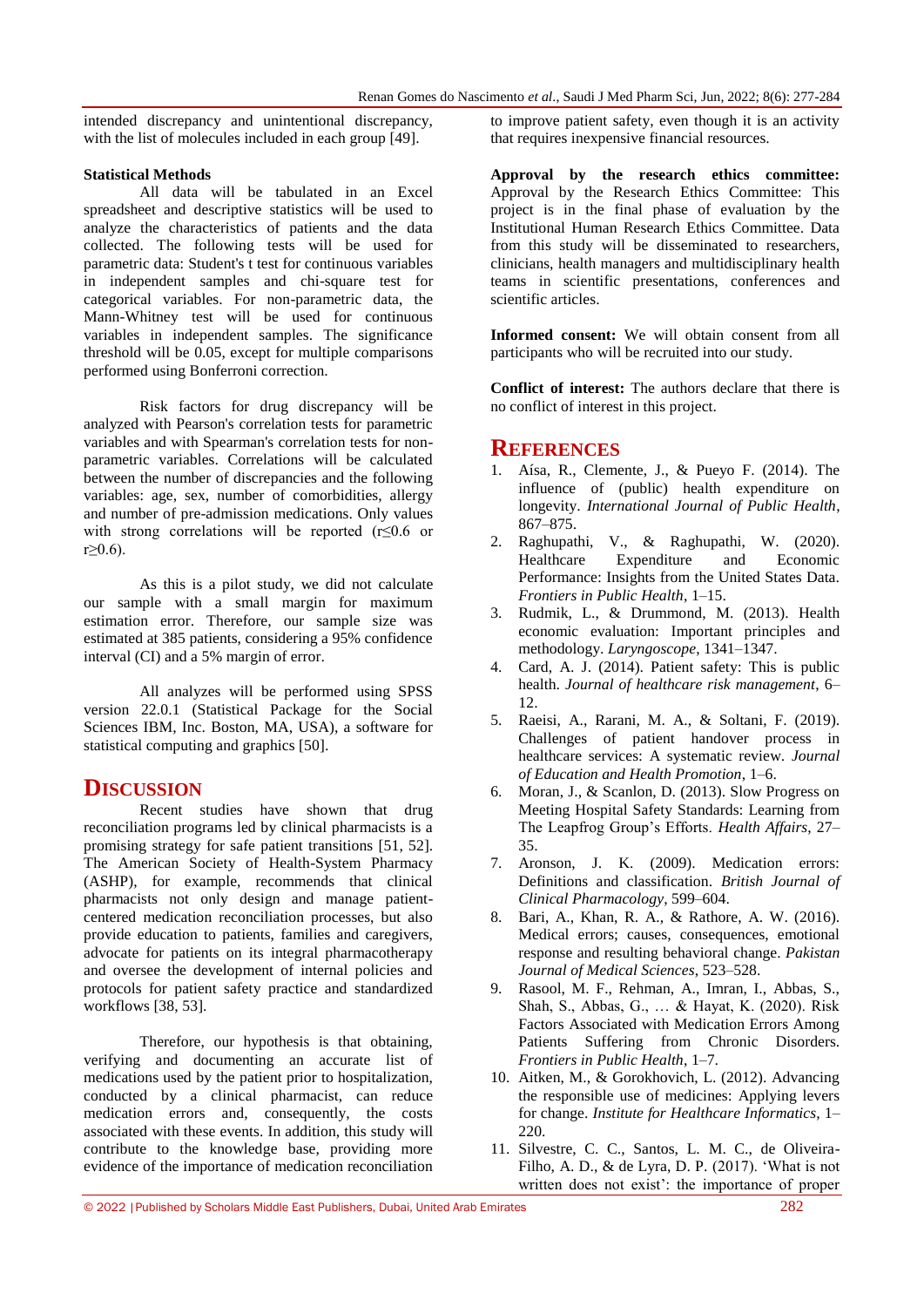intended discrepancy and unintentional discrepancy, with the list of molecules included in each group [49].

### **Statistical Methods**

All data will be tabulated in an Excel spreadsheet and descriptive statistics will be used to analyze the characteristics of patients and the data collected. The following tests will be used for parametric data: Student's t test for continuous variables in independent samples and chi-square test for categorical variables. For non-parametric data, the Mann-Whitney test will be used for continuous variables in independent samples. The significance threshold will be 0.05, except for multiple comparisons performed using Bonferroni correction.

Risk factors for drug discrepancy will be analyzed with Pearson's correlation tests for parametric variables and with Spearman's correlation tests for nonparametric variables. Correlations will be calculated between the number of discrepancies and the following variables: age, sex, number of comorbidities, allergy and number of pre-admission medications. Only values with strong correlations will be reported (r≤0.6 or  $r > 0.6$ ).

As this is a pilot study, we did not calculate our sample with a small margin for maximum estimation error. Therefore, our sample size was estimated at 385 patients, considering a 95% confidence interval (CI) and a 5% margin of error.

All analyzes will be performed using SPSS version 22.0.1 (Statistical Package for the Social Sciences IBM, Inc. Boston, MA, USA), a software for statistical computing and graphics [50].

# **DISCUSSION**

Recent studies have shown that drug reconciliation programs led by clinical pharmacists is a promising strategy for safe patient transitions [51, 52]. The American Society of Health-System Pharmacy (ASHP), for example, recommends that clinical pharmacists not only design and manage patientcentered medication reconciliation processes, but also provide education to patients, families and caregivers, advocate for patients on its integral pharmacotherapy and oversee the development of internal policies and protocols for patient safety practice and standardized workflows [38, 53].

Therefore, our hypothesis is that obtaining, verifying and documenting an accurate list of medications used by the patient prior to hospitalization, conducted by a clinical pharmacist, can reduce medication errors and, consequently, the costs associated with these events. In addition, this study will contribute to the knowledge base, providing more evidence of the importance of medication reconciliation to improve patient safety, even though it is an activity that requires inexpensive financial resources.

**Approval by the research ethics committee:** Approval by the Research Ethics Committee: This project is in the final phase of evaluation by the Institutional Human Research Ethics Committee. Data from this study will be disseminated to researchers, clinicians, health managers and multidisciplinary health teams in scientific presentations, conferences and scientific articles.

**Informed consent:** We will obtain consent from all participants who will be recruited into our study.

**Conflict of interest:** The authors declare that there is no conflict of interest in this project.

## **REFERENCES**

- 1. Aísa, R., Clemente, J., & Pueyo F. (2014). The influence of (public) health expenditure on longevity. *International Journal of Public Health*, 867–875.
- 2. Raghupathi, V., & Raghupathi, W. (2020). Healthcare Expenditure and Economic Performance: Insights from the United States Data. *Frontiers in Public Health*, 1–15.
- 3. Rudmik, L., & Drummond, M. (2013). Health economic evaluation: Important principles and methodology. *Laryngoscope*, 1341–1347.
- 4. Card, A. J. (2014). Patient safety: This is public health. *Journal of healthcare risk management*, 6– 12.
- 5. Raeisi, A., Rarani, M. A., & Soltani, F. (2019). Challenges of patient handover process in healthcare services: A systematic review. *Journal of Education and Health Promotion*, 1–6.
- 6. Moran, J., & Scanlon, D. (2013). Slow Progress on Meeting Hospital Safety Standards: Learning from The Leapfrog Group"s Efforts. *Health Affairs*, 27– 35.
- 7. Aronson, J. K. (2009). Medication errors: Definitions and classification. *British Journal of Clinical Pharmacology*, 599–604.
- 8. Bari, A., Khan, R. A., & Rathore, A. W. (2016). Medical errors; causes, consequences, emotional response and resulting behavioral change. *Pakistan Journal of Medical Sciences*, 523–528.
- 9. Rasool, M. F., Rehman, A., Imran, I., Abbas, S., Shah, S., Abbas, G., … & Hayat, K. (2020). Risk Factors Associated with Medication Errors Among Patients Suffering from Chronic Disorders. *Frontiers in Public Health*, 1–7.
- 10. Aitken, M., & Gorokhovich, L. (2012). Advancing the responsible use of medicines: Applying levers for change. *Institute for Healthcare Informatics*, 1– 220.
- 11. Silvestre, C. C., Santos, L. M. C., de Oliveira-Filho, A. D., & de Lyra, D. P. (2017). "What is not written does not exist': the importance of proper

© 2022 |Published by Scholars Middle East Publishers, Dubai, United Arab Emirates 282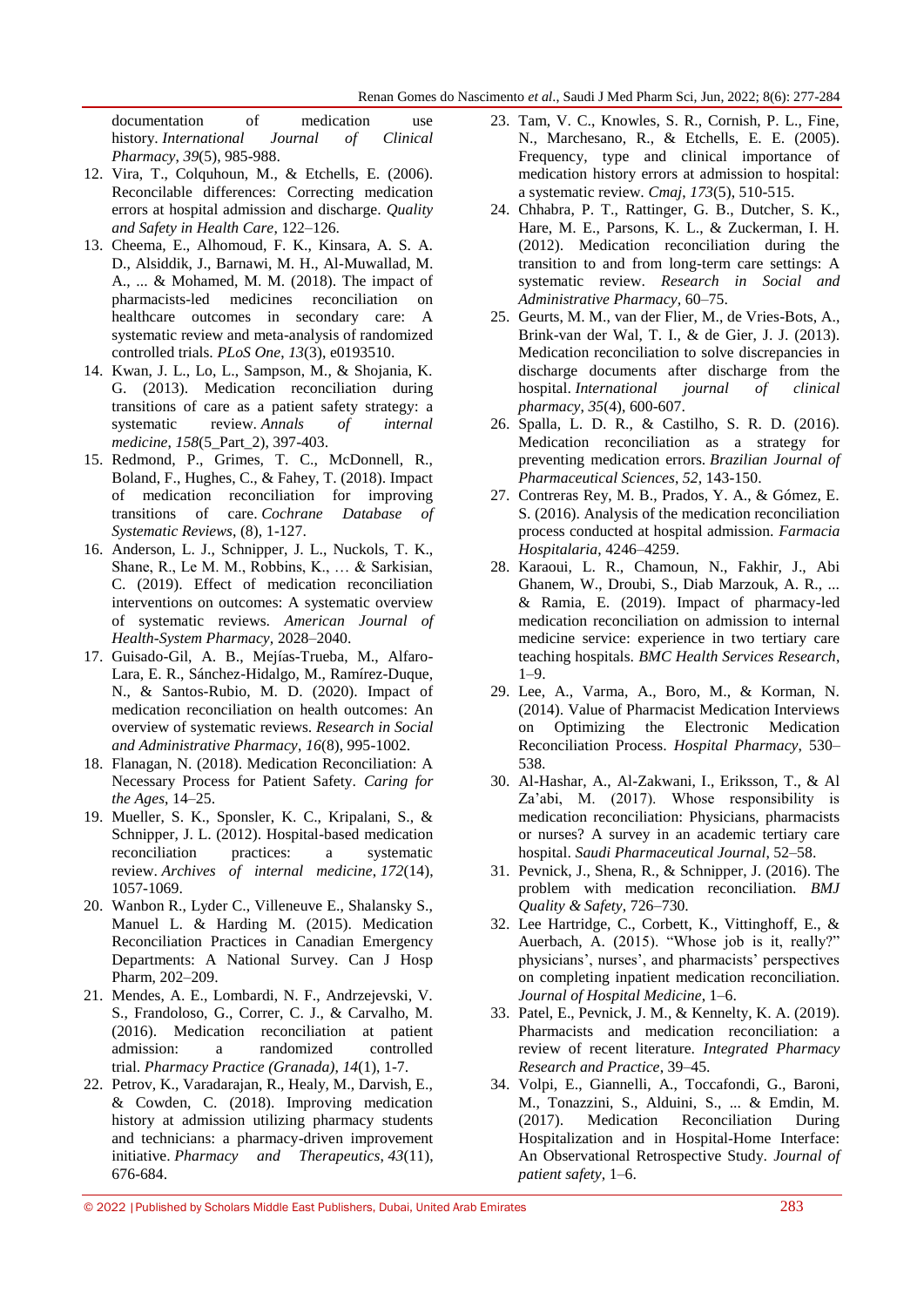documentation of medication use history. *International Journal of Clinical Pharmacy*, *39*(5), 985-988.

- 12. Vira, T., Colquhoun, M., & Etchells, E. (2006). Reconcilable differences: Correcting medication errors at hospital admission and discharge. *Quality and Safety in Health Care*, 122–126.
- 13. Cheema, E., Alhomoud, F. K., Kinsara, A. S. A. D., Alsiddik, J., Barnawi, M. H., Al-Muwallad, M. A., ... & Mohamed, M. M. (2018). The impact of pharmacists-led medicines reconciliation on healthcare outcomes in secondary care: A systematic review and meta-analysis of randomized controlled trials. *PLoS One*, *13*(3), e0193510.
- 14. Kwan, J. L., Lo, L., Sampson, M., & Shojania, K. G. (2013). Medication reconciliation during transitions of care as a patient safety strategy: a systematic review. *Annals of internal medicine*, *158*(5\_Part\_2), 397-403.
- 15. Redmond, P., Grimes, T. C., McDonnell, R., Boland, F., Hughes, C., & Fahey, T. (2018). Impact of medication reconciliation for improving transitions of care. *Cochrane Database of Systematic Reviews*, (8), 1-127.
- 16. Anderson, L. J., Schnipper, J. L., Nuckols, T. K., Shane, R., Le M. M., Robbins, K., … & Sarkisian, C. (2019). Effect of medication reconciliation interventions on outcomes: A systematic overview of systematic reviews. *American Journal of Health-System Pharmacy,* 2028–2040.
- 17. Guisado-Gil, A. B., Mejías-Trueba, M., Alfaro-Lara, E. R., Sánchez-Hidalgo, M., Ramírez-Duque, N., & Santos-Rubio, M. D. (2020). Impact of medication reconciliation on health outcomes: An overview of systematic reviews. *Research in Social and Administrative Pharmacy*, *16*(8), 995-1002.
- 18. Flanagan, N. (2018). Medication Reconciliation: A Necessary Process for Patient Safety. *Caring for the Ages*, 14–25.
- 19. Mueller, S. K., Sponsler, K. C., Kripalani, S., & Schnipper, J. L. (2012). Hospital-based medication reconciliation practices: a systematic review. *Archives of internal medicine*, *172*(14), 1057-1069.
- 20. Wanbon R., Lyder C., Villeneuve E., Shalansky S., Manuel L. & Harding M. (2015). Medication Reconciliation Practices in Canadian Emergency Departments: A National Survey. Can J Hosp Pharm, 202–209.
- 21. Mendes, A. E., Lombardi, N. F., Andrzejevski, V. S., Frandoloso, G., Correr, C. J., & Carvalho, M. (2016). Medication reconciliation at patient admission: a randomized controlled trial. *Pharmacy Practice (Granada)*, *14*(1), 1-7.
- 22. Petrov, K., Varadarajan, R., Healy, M., Darvish, E., & Cowden, C. (2018). Improving medication history at admission utilizing pharmacy students and technicians: a pharmacy-driven improvement initiative. *Pharmacy and Therapeutics*, *43*(11), 676-684.
- 23. Tam, V. C., Knowles, S. R., Cornish, P. L., Fine, N., Marchesano, R., & Etchells, E. E. (2005). Frequency, type and clinical importance of medication history errors at admission to hospital: a systematic review. *Cmaj*, *173*(5), 510-515.
- 24. Chhabra, P. T., Rattinger, G. B., Dutcher, S. K., Hare, M. E., Parsons, K. L., & Zuckerman, I. H. (2012). Medication reconciliation during the transition to and from long-term care settings: A systematic review. *Research in Social and Administrative Pharmacy,* 60–75.
- 25. Geurts, M. M., van der Flier, M., de Vries-Bots, A., Brink-van der Wal, T. I., & de Gier, J. J. (2013). Medication reconciliation to solve discrepancies in discharge documents after discharge from the hospital. *International journal of clinical pharmacy*, *35*(4), 600-607.
- 26. Spalla, L. D. R., & Castilho, S. R. D. (2016). Medication reconciliation as a strategy for preventing medication errors. *Brazilian Journal of Pharmaceutical Sciences*, *52*, 143-150.
- 27. Contreras Rey, M. B., Prados, Y. A., & Gómez, E. S. (2016). Analysis of the medication reconciliation process conducted at hospital admission. *Farmacia Hospitalaria*, 4246–4259.
- 28. Karaoui, L. R., Chamoun, N., Fakhir, J., Abi Ghanem, W., Droubi, S., Diab Marzouk, A. R., ... & Ramia, E. (2019). Impact of pharmacy-led medication reconciliation on admission to internal medicine service: experience in two tertiary care teaching hospitals. *BMC Health Services Research*, 1–9.
- 29. Lee, A., Varma, A., Boro, M., & Korman, N. (2014). Value of Pharmacist Medication Interviews on Optimizing the Electronic Medication Reconciliation Process. *Hospital Pharmacy*, 530– 538.
- 30. Al-Hashar, A., Al-Zakwani, I., Eriksson, T., & Al Za"abi, M. (2017). Whose responsibility is medication reconciliation: Physicians, pharmacists or nurses? A survey in an academic tertiary care hospital. *Saudi Pharmaceutical Journal*, 52–58.
- 31. Pevnick, J., Shena, R., & Schnipper, J. (2016). The problem with medication reconciliation. *BMJ Quality & Safety*, 726–730.
- 32. Lee Hartridge, C., Corbett, K., Vittinghoff, E., & Auerbach, A. (2015). "Whose job is it, really?" physicians', nurses', and pharmacists' perspectives on completing inpatient medication reconciliation. *Journal of Hospital Medicine*, 1–6.
- 33. Patel, E., Pevnick, J. M., & Kennelty, K. A. (2019). Pharmacists and medication reconciliation: a review of recent literature. *Integrated Pharmacy Research and Practice*, 39–45.
- 34. Volpi, E., Giannelli, A., Toccafondi, G., Baroni, M., Tonazzini, S., Alduini, S., ... & Emdin, M. (2017). Medication Reconciliation During Hospitalization and in Hospital-Home Interface: An Observational Retrospective Study. *Journal of patient safety,* 1–6.

<sup>© 2022</sup> |Published by Scholars Middle East Publishers, Dubai, United Arab Emirates 283